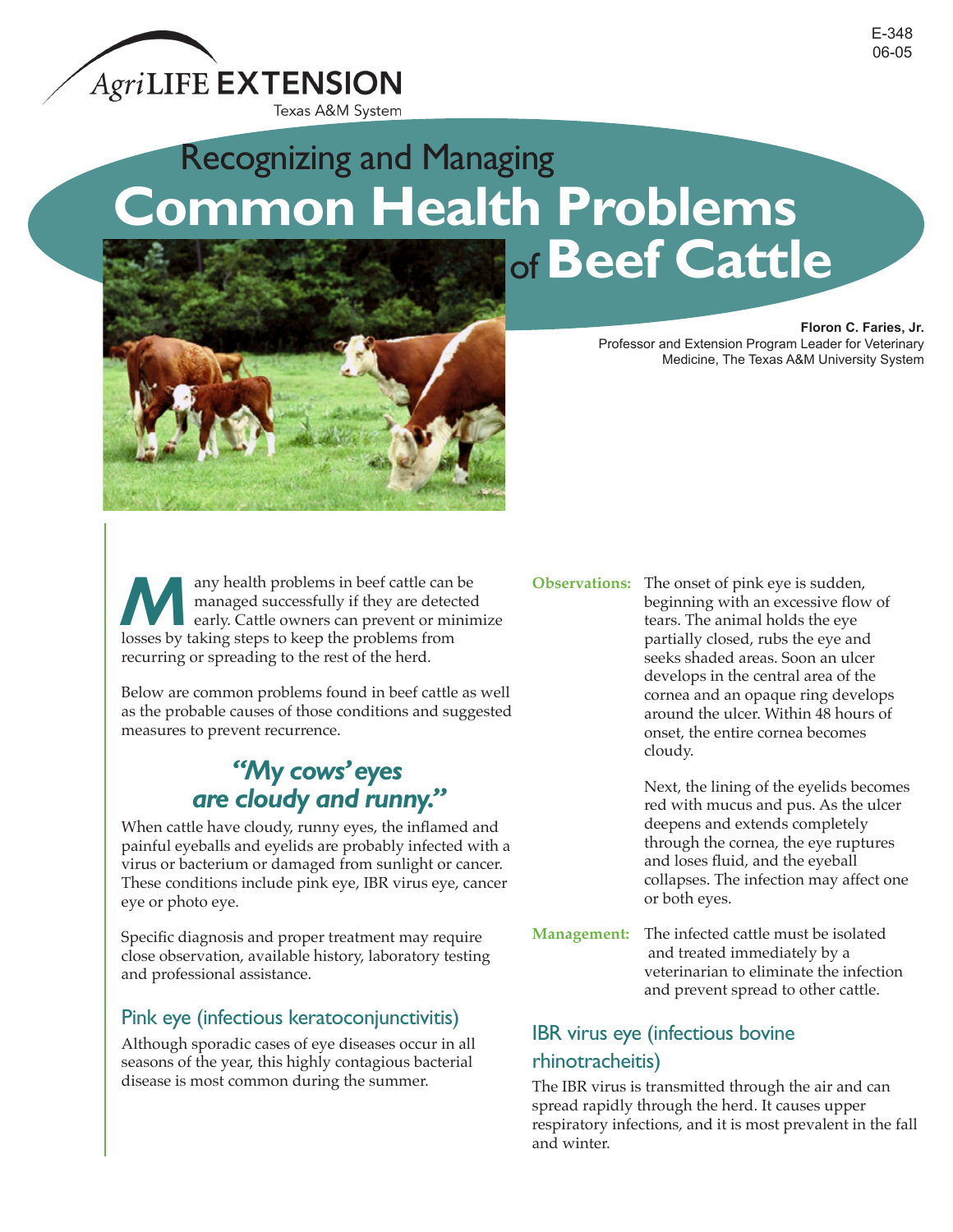# Recognizing and Managing **Common Health Problems** of**Beef Cattle**



**Many health problems in beef cattle can be**<br>managed successfully if they are detected<br>early. Cattle owners can prevent or minin<br>losses by taking stops to keep the problems from managed successfully if they are detected early. Cattle owners can prevent or minimize losses by taking steps to keep the problems from recurring or spreading to the rest of the herd.

Below are common problems found in beef cattle as well as the probable causes of those conditions and suggested measures to prevent recurrence.

## *"My cows' eyes are cloudy and runny."*

When cattle have cloudy, runny eyes, the inflamed and painful eyeballs and eyelids are probably infected with a virus or bacterium or damaged from sunlight or cancer. These conditions include pink eye, IBR virus eye, cancer eye or photo eye.

Specific diagnosis and proper treatment may require close observation, available history, laboratory testing and professional assistance.

#### Pink eye (infectious keratoconjunctivitis)

Although sporadic cases of eye diseases occur in all seasons of the year, this highly contagious bacterial disease is most common during the summer.

#### **Observations:** The onset of pink eye is sudden, beginning with an excessive flow of tears. The animal holds the eye partially closed, rubs the eye and seeks shaded areas. Soon an ulcer develops in the central area of the cornea and an opaque ring develops around the ulcer. Within 48 hours of onset, the entire cornea becomes cloudy.

Next, the lining of the eyelids becomes red with mucus and pus. As the ulcer deepens and extends completely through the cornea, the eye ruptures and loses fluid, and the eyeball collapses. The infection may affect one or both eyes.

**Management:** The infected cattle must be isolated and treated immediately by a veterinarian to eliminate the infection and prevent spread to other cattle.

## IBR virus eye (infectious bovine rhinotracheitis)

The IBR virus is transmitted through the air and can spread rapidly through the herd. It causes upper respiratory infections, and it is most prevalent in the fall and winter.

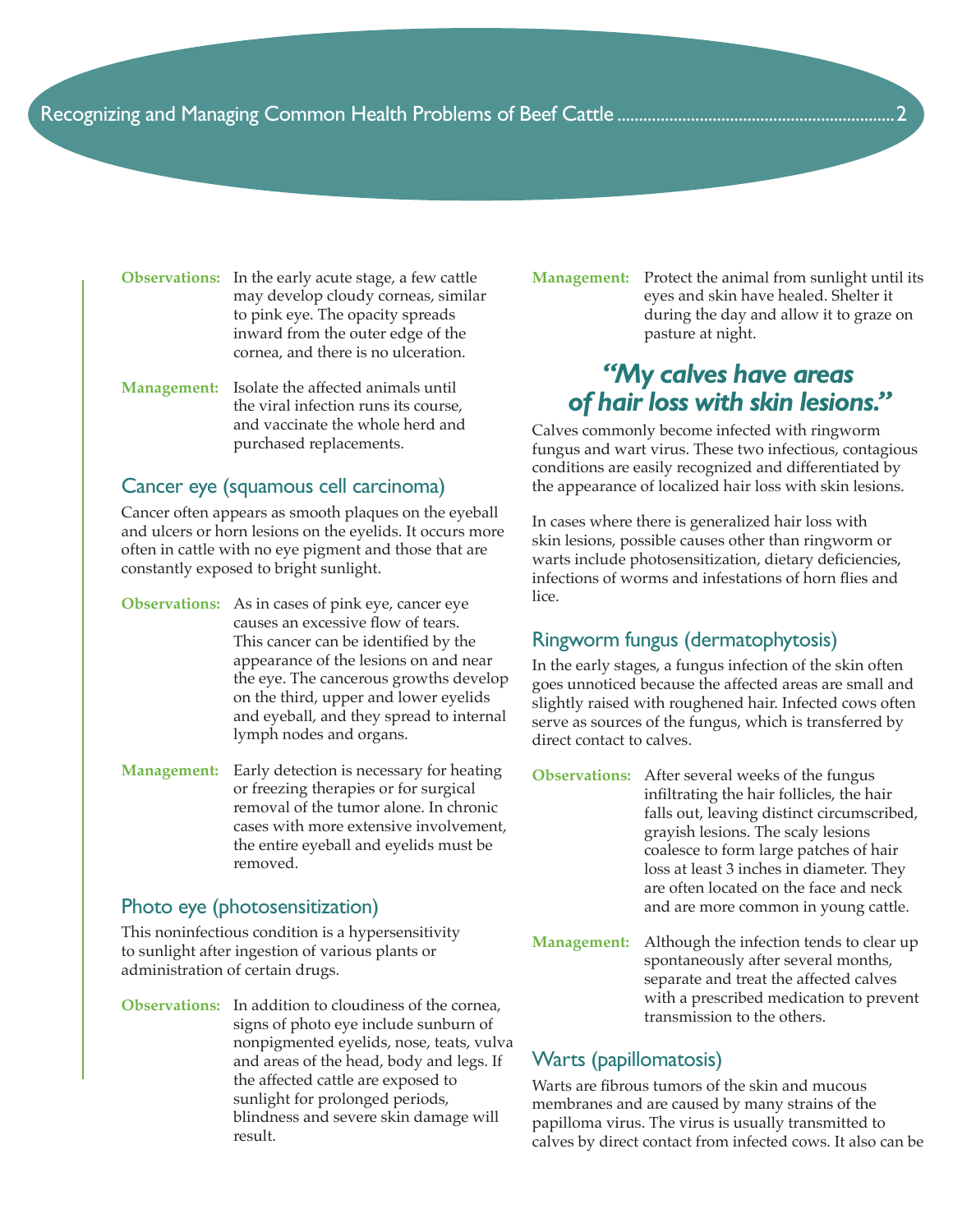**Observations:** In the early acute stage, a few cattle may develop cloudy corneas, similar to pink eye. The opacity spreads inward from the outer edge of the cornea, and there is no ulceration.

**Management:** Isolate the affected animals until the viral infection runs its course, and vaccinate the whole herd and purchased replacements.

#### Cancer eye (squamous cell carcinoma)

Cancer often appears as smooth plaques on the eyeball and ulcers or horn lesions on the eyelids. It occurs more often in cattle with no eye pigment and those that are constantly exposed to bright sunlight.

- **Observations:** As in cases of pink eye, cancer eye causes an excessive flow of tears. This cancer can be identified by the appearance of the lesions on and near the eye. The cancerous growths develop on the third, upper and lower eyelids and eyeball, and they spread to internal lymph nodes and organs.
- **Management:** Early detection is necessary for heating or freezing therapies or for surgical removal of the tumor alone. In chronic cases with more extensive involvement, the entire eyeball and eyelids must be removed.

#### Photo eye (photosensitization)

This noninfectious condition is a hypersensitivity to sunlight after ingestion of various plants or administration of certain drugs.

**Observations:** In addition to cloudiness of the cornea, signs of photo eye include sunburn of nonpigmented eyelids, nose, teats, vulva and areas of the head, body and legs. If the affected cattle are exposed to sunlight for prolonged periods, blindness and severe skin damage will result.

**Management:** Protect the animal from sunlight until its eyes and skin have healed. Shelter it during the day and allow it to graze on pasture at night.

## *"My calves have areas of hair loss with skin lesions."*

Calves commonly become infected with ringworm fungus and wart virus. These two infectious, contagious conditions are easily recognized and differentiated by the appearance of localized hair loss with skin lesions.

In cases where there is generalized hair loss with skin lesions, possible causes other than ringworm or warts include photosensitization, dietary deficiencies, infections of worms and infestations of horn flies and lice.

#### Ringworm fungus (dermatophytosis)

In the early stages, a fungus infection of the skin often goes unnoticed because the affected areas are small and slightly raised with roughened hair. Infected cows often serve as sources of the fungus, which is transferred by direct contact to calves.

- **Observations:** After several weeks of the fungus infiltrating the hair follicles, the hair falls out, leaving distinct circumscribed, grayish lesions. The scaly lesions coalesce to form large patches of hair loss at least 3 inches in diameter. They are often located on the face and neck and are more common in young cattle.
- **Management:** Although the infection tends to clear up spontaneously after several months, separate and treat the affected calves with a prescribed medication to prevent transmission to the others.

#### Warts (papillomatosis)

Warts are fibrous tumors of the skin and mucous membranes and are caused by many strains of the papilloma virus. The virus is usually transmitted to calves by direct contact from infected cows. It also can be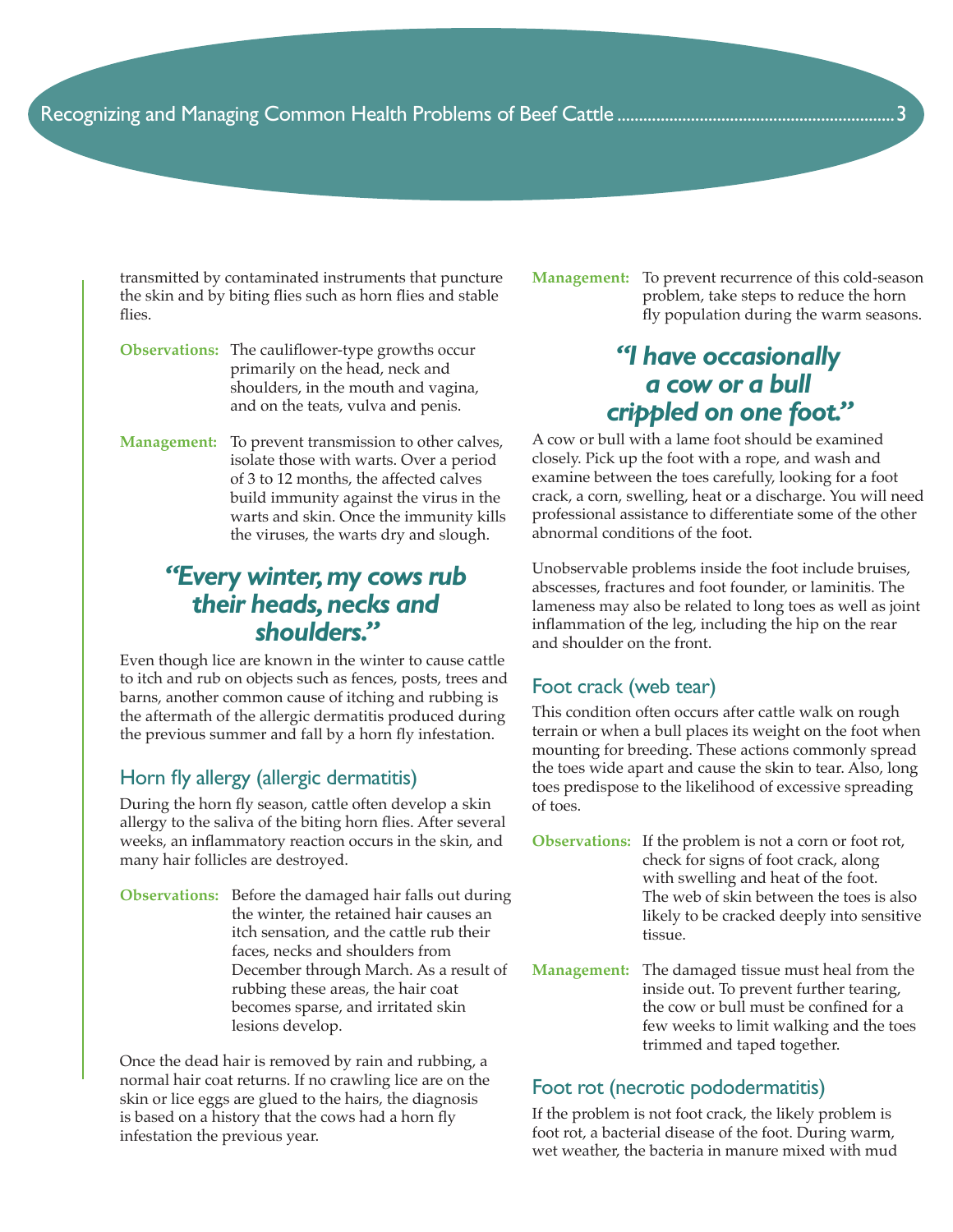transmitted by contaminated instruments that puncture the skin and by biting flies such as horn flies and stable flies.

- **Observations:** The cauliflower-type growths occur primarily on the head, neck and shoulders, in the mouth and vagina, and on the teats, vulva and penis.
- **Management:** To prevent transmission to other calves, isolate those with warts. Over a period of 3 to 12 months, the affected calves build immunity against the virus in the warts and skin. Once the immunity kills the viruses, the warts dry and slough.

## *"Every winter, my cows rub their heads, necks and shoulders."*

Even though lice are known in the winter to cause cattle to itch and rub on objects such as fences, posts, trees and barns, another common cause of itching and rubbing is the aftermath of the allergic dermatitis produced during the previous summer and fall by a horn fly infestation.

#### Horn fly allergy (allergic dermatitis)

During the horn fly season, cattle often develop a skin allergy to the saliva of the biting horn flies. After several weeks, an inflammatory reaction occurs in the skin, and many hair follicles are destroyed.

**Observations:** Before the damaged hair falls out during the winter, the retained hair causes an itch sensation, and the cattle rub their faces, necks and shoulders from December through March. As a result of rubbing these areas, the hair coat becomes sparse, and irritated skin lesions develop.

Once the dead hair is removed by rain and rubbing, a normal hair coat returns. If no crawling lice are on the skin or lice eggs are glued to the hairs, the diagnosis is based on a history that the cows had a horn fly infestation the previous year.

**Management:** To prevent recurrence of this cold-season problem, take steps to reduce the horn fly population during the warm seasons.

## *"I have occasionally a cow or a bull crippled on one foot."*

A cow or bull with a lame foot should be examined closely. Pick up the foot with a rope, and wash and examine between the toes carefully, looking for a foot crack, a corn, swelling, heat or a discharge. You will need professional assistance to differentiate some of the other abnormal conditions of the foot.

Unobservable problems inside the foot include bruises, abscesses, fractures and foot founder, or laminitis. The lameness may also be related to long toes as well as joint inflammation of the leg, including the hip on the rear and shoulder on the front.

#### Foot crack (web tear)

This condition often occurs after cattle walk on rough terrain or when a bull places its weight on the foot when mounting for breeding. These actions commonly spread the toes wide apart and cause the skin to tear. Also, long toes predispose to the likelihood of excessive spreading of toes.

- **Observations:** If the problem is not a corn or foot rot, check for signs of foot crack, along with swelling and heat of the foot. The web of skin between the toes is also likely to be cracked deeply into sensitive tissue.
- **Management:** The damaged tissue must heal from the inside out. To prevent further tearing, the cow or bull must be confined for a few weeks to limit walking and the toes trimmed and taped together.

#### Foot rot (necrotic pododermatitis)

If the problem is not foot crack, the likely problem is foot rot, a bacterial disease of the foot. During warm, wet weather, the bacteria in manure mixed with mud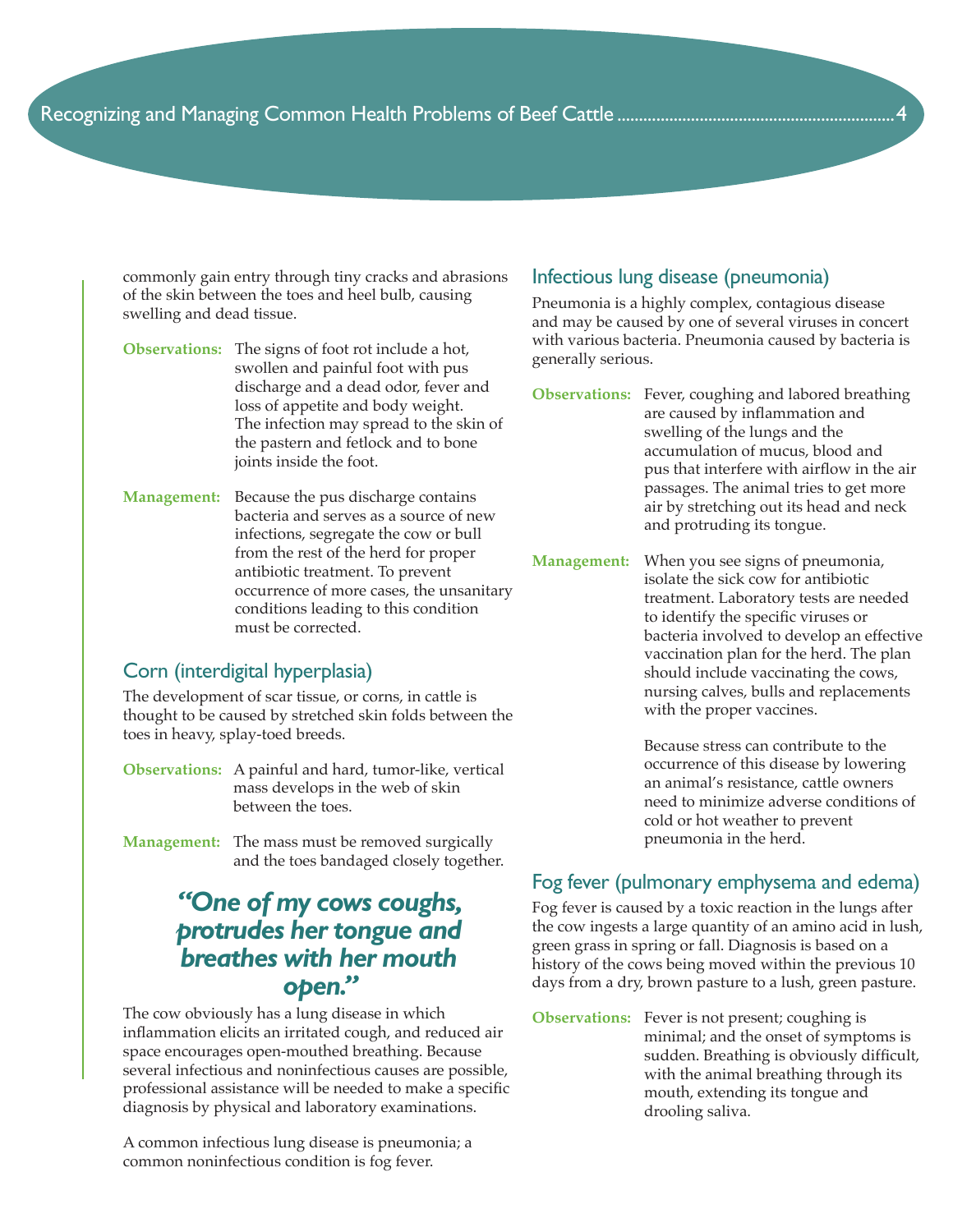commonly gain entry through tiny cracks and abrasions of the skin between the toes and heel bulb, causing swelling and dead tissue.

- **Observations:** The signs of foot rot include a hot, swollen and painful foot with pus discharge and a dead odor, fever and loss of appetite and body weight. The infection may spread to the skin of the pastern and fetlock and to bone joints inside the foot.
- **Management:** Because the pus discharge contains bacteria and serves as a source of new infections, segregate the cow or bull from the rest of the herd for proper antibiotic treatment. To prevent occurrence of more cases, the unsanitary conditions leading to this condition must be corrected.

#### Corn (interdigital hyperplasia)

The development of scar tissue, or corns, in cattle is thought to be caused by stretched skin folds between the toes in heavy, splay-toed breeds.

- **Observations:** A painful and hard, tumor-like, vertical mass develops in the web of skin between the toes.
- **Management:** The mass must be removed surgically and the toes bandaged closely together.

## *"One of my cows coughs, protrudes her tongue and breathes with her mouth open."*

The cow obviously has a lung disease in which inflammation elicits an irritated cough, and reduced air space encourages open-mouthed breathing. Because several infectious and noninfectious causes are possible, professional assistance will be needed to make a specific diagnosis by physical and laboratory examinations.

A common infectious lung disease is pneumonia; a common noninfectious condition is fog fever.

#### Infectious lung disease (pneumonia)

Pneumonia is a highly complex, contagious disease and may be caused by one of several viruses in concert with various bacteria. Pneumonia caused by bacteria is generally serious.

- **Observations:** Fever, coughing and labored breathing are caused by inflammation and swelling of the lungs and the accumulation of mucus, blood and pus that interfere with airflow in the air passages. The animal tries to get more air by stretching out its head and neck and protruding its tongue.
- **Management:** When you see signs of pneumonia, isolate the sick cow for antibiotic treatment. Laboratory tests are needed to identify the specific viruses or bacteria involved to develop an effective vaccination plan for the herd. The plan should include vaccinating the cows, nursing calves, bulls and replacements with the proper vaccines.

 Because stress can contribute to the occurrence of this disease by lowering an animal's resistance, cattle owners need to minimize adverse conditions of cold or hot weather to prevent pneumonia in the herd.

#### Fog fever (pulmonary emphysema and edema)

Fog fever is caused by a toxic reaction in the lungs after the cow ingests a large quantity of an amino acid in lush, green grass in spring or fall. Diagnosis is based on a history of the cows being moved within the previous 10 days from a dry, brown pasture to a lush, green pasture.

**Observations:** Fever is not present; coughing is minimal; and the onset of symptoms is sudden. Breathing is obviously difficult, with the animal breathing through its mouth, extending its tongue and drooling saliva.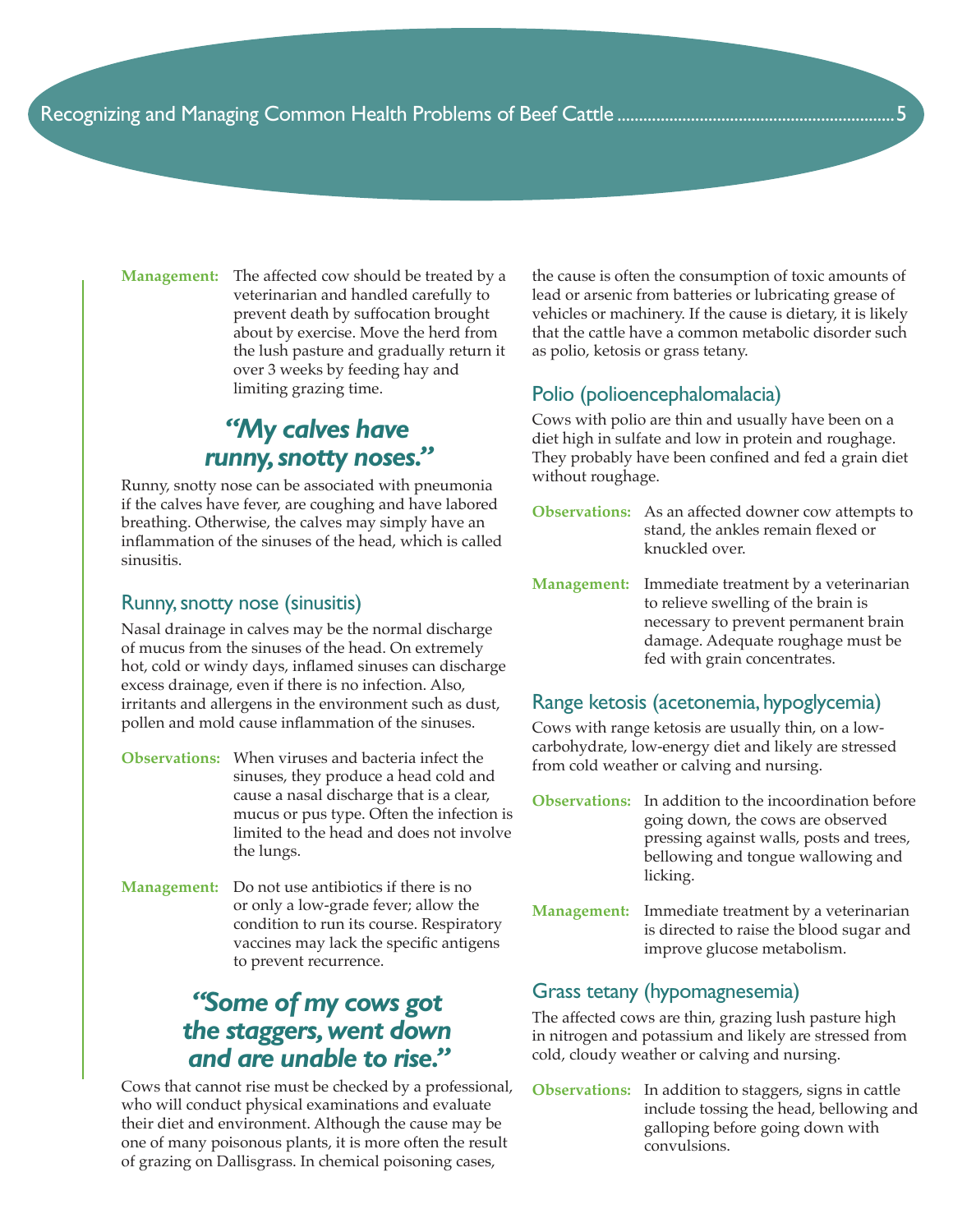**Management:** The affected cow should be treated by a veterinarian and handled carefully to prevent death by suffocation brought about by exercise. Move the herd from the lush pasture and gradually return it over 3 weeks by feeding hay and limiting grazing time.

## *"My calves have runny, snotty noses."*

Runny, snotty nose can be associated with pneumonia if the calves have fever, are coughing and have labored breathing. Otherwise, the calves may simply have an inflammation of the sinuses of the head, which is called sinusitis.

#### Runny, snotty nose (sinusitis)

Nasal drainage in calves may be the normal discharge of mucus from the sinuses of the head. On extremely hot, cold or windy days, inflamed sinuses can discharge excess drainage, even if there is no infection. Also, irritants and allergens in the environment such as dust, pollen and mold cause inflammation of the sinuses.

- **Observations:** When viruses and bacteria infect the sinuses, they produce a head cold and cause a nasal discharge that is a clear, mucus or pus type. Often the infection is limited to the head and does not involve the lungs.
- **Management:** Do not use antibiotics if there is no or only a low-grade fever; allow the condition to run its course. Respiratory vaccines may lack the specific antigens to prevent recurrence.

## *"Some of my cows got the staggers, went down and are unable to rise."*

Cows that cannot rise must be checked by a professional, who will conduct physical examinations and evaluate their diet and environment. Although the cause may be one of many poisonous plants, it is more often the result of grazing on Dallisgrass. In chemical poisoning cases,

the cause is often the consumption of toxic amounts of lead or arsenic from batteries or lubricating grease of vehicles or machinery. If the cause is dietary, it is likely that the cattle have a common metabolic disorder such as polio, ketosis or grass tetany.

#### Polio (polioencephalomalacia)

Cows with polio are thin and usually have been on a diet high in sulfate and low in protein and roughage. They probably have been confined and fed a grain diet without roughage.

- **Observations:** As an affected downer cow attempts to stand, the ankles remain flexed or knuckled over.
- **Management:** Immediate treatment by a veterinarian to relieve swelling of the brain is necessary to prevent permanent brain damage. Adequate roughage must be fed with grain concentrates.

#### Range ketosis (acetonemia, hypoglycemia)

Cows with range ketosis are usually thin, on a lowcarbohydrate, low-energy diet and likely are stressed from cold weather or calving and nursing.

- **Observations:** In addition to the incoordination before going down, the cows are observed pressing against walls, posts and trees, bellowing and tongue wallowing and licking.
- **Management:** Immediate treatment by a veterinarian is directed to raise the blood sugar and improve glucose metabolism.

### Grass tetany (hypomagnesemia)

The affected cows are thin, grazing lush pasture high in nitrogen and potassium and likely are stressed from cold, cloudy weather or calving and nursing.

**Observations:** In addition to staggers, signs in cattle include tossing the head, bellowing and galloping before going down with convulsions.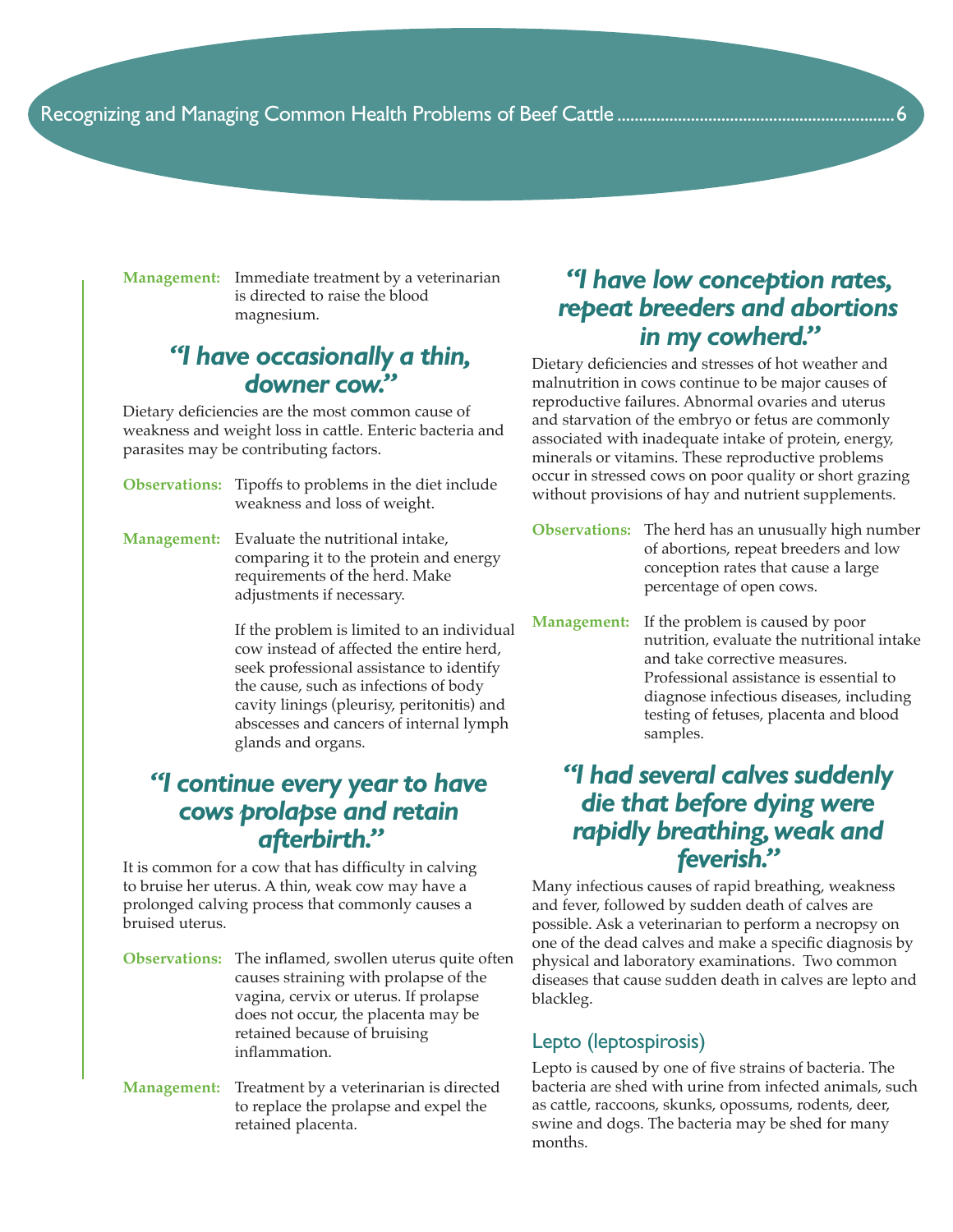**Management:** Immediate treatment by a veterinarian is directed to raise the blood magnesium.

## *"I have occasionally a thin, downer cow."*

Dietary deficiencies are the most common cause of weakness and weight loss in cattle. Enteric bacteria and parasites may be contributing factors.

- **Observations:** Tipoffs to problems in the diet include weakness and loss of weight.
- **Management:** Evaluate the nutritional intake, comparing it to the protein and energy requirements of the herd. Make adjustments if necessary.

 If the problem is limited to an individual cow instead of affected the entire herd, seek professional assistance to identify the cause, such as infections of body cavity linings (pleurisy, peritonitis) and abscesses and cancers of internal lymph glands and organs.

## *"I continue every year to have cows prolapse and retain afterbirth."*

It is common for a cow that has difficulty in calving to bruise her uterus. A thin, weak cow may have a prolonged calving process that commonly causes a bruised uterus.

- **Observations:** The inflamed, swollen uterus quite often causes straining with prolapse of the vagina, cervix or uterus. If prolapse does not occur, the placenta may be retained because of bruising inflammation.
- **Management:** Treatment by a veterinarian is directed to replace the prolapse and expel the retained placenta.

## *"I have low conception rates, repeat breeders and abortions in my cowherd."*

Dietary deficiencies and stresses of hot weather and malnutrition in cows continue to be major causes of reproductive failures. Abnormal ovaries and uterus and starvation of the embryo or fetus are commonly associated with inadequate intake of protein, energy, minerals or vitamins. These reproductive problems occur in stressed cows on poor quality or short grazing without provisions of hay and nutrient supplements.

- **Observations:** The herd has an unusually high number of abortions, repeat breeders and low conception rates that cause a large percentage of open cows.
- **Management:** If the problem is caused by poor nutrition, evaluate the nutritional intake and take corrective measures. Professional assistance is essential to diagnose infectious diseases, including testing of fetuses, placenta and blood samples.

## *"I had several calves suddenly die that before dying were rapidly breathing, weak and feverish."*

Many infectious causes of rapid breathing, weakness and fever, followed by sudden death of calves are possible. Ask a veterinarian to perform a necropsy on one of the dead calves and make a specific diagnosis by physical and laboratory examinations. Two common diseases that cause sudden death in calves are lepto and blackleg.

#### Lepto (leptospirosis)

Lepto is caused by one of five strains of bacteria. The bacteria are shed with urine from infected animals, such as cattle, raccoons, skunks, opossums, rodents, deer, swine and dogs. The bacteria may be shed for many months.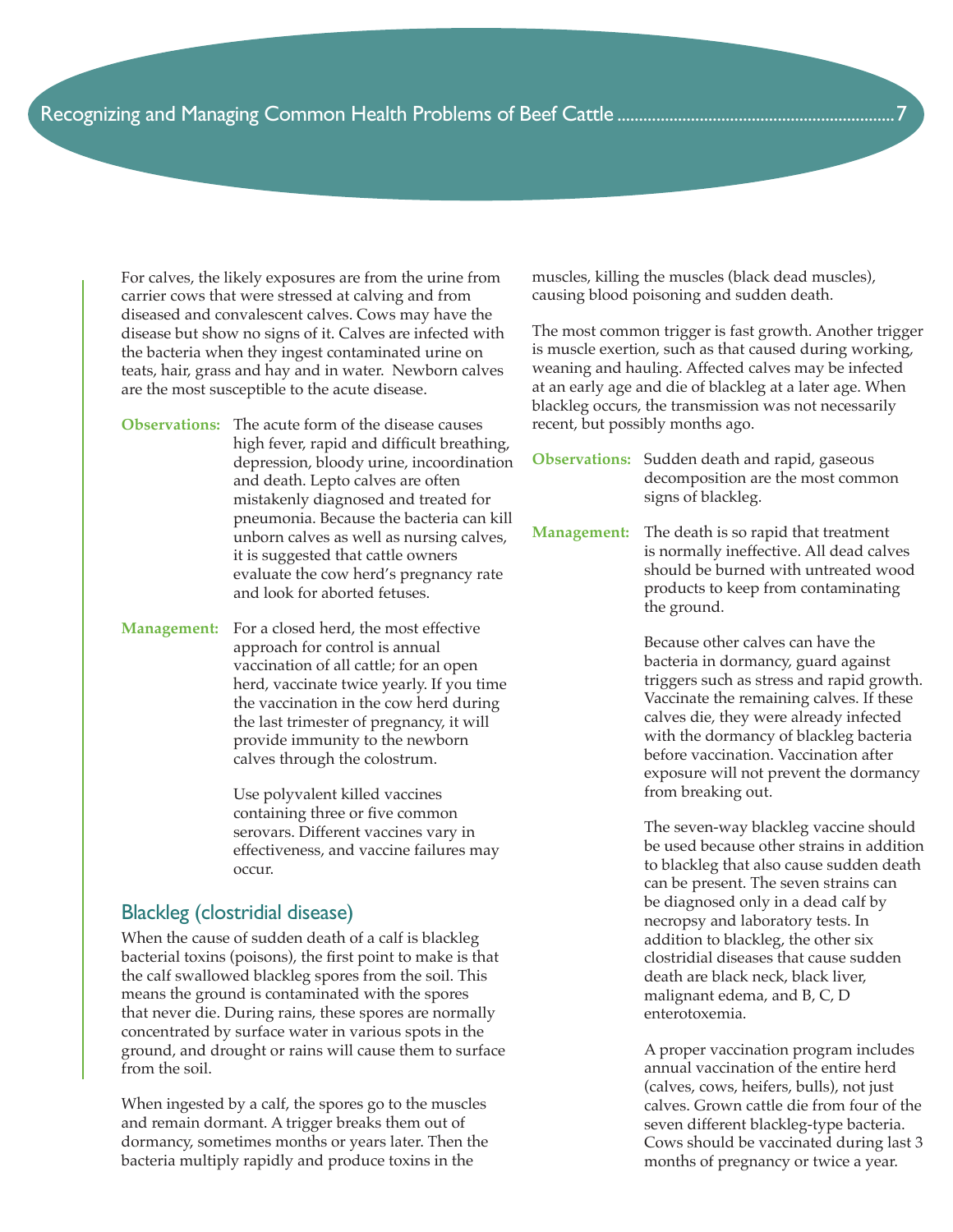For calves, the likely exposures are from the urine from carrier cows that were stressed at calving and from diseased and convalescent calves. Cows may have the disease but show no signs of it. Calves are infected with the bacteria when they ingest contaminated urine on teats, hair, grass and hay and in water. Newborn calves are the most susceptible to the acute disease.

- **Observations:** The acute form of the disease causes high fever, rapid and difficult breathing, depression, bloody urine, incoordination and death. Lepto calves are often mistakenly diagnosed and treated for pneumonia. Because the bacteria can kill unborn calves as well as nursing calves, it is suggested that cattle owners evaluate the cow herd's pregnancy rate and look for aborted fetuses.
- **Management:** For a closed herd, the most effective approach for control is annual vaccination of all cattle; for an open herd, vaccinate twice yearly. If you time the vaccination in the cow herd during the last trimester of pregnancy, it will provide immunity to the newborn calves through the colostrum.

 Use polyvalent killed vaccines containing three or five common serovars. Different vaccines vary in effectiveness, and vaccine failures may occur.

#### Blackleg (clostridial disease)

When the cause of sudden death of a calf is blackleg bacterial toxins (poisons), the first point to make is that the calf swallowed blackleg spores from the soil. This means the ground is contaminated with the spores that never die. During rains, these spores are normally concentrated by surface water in various spots in the ground, and drought or rains will cause them to surface from the soil.

When ingested by a calf, the spores go to the muscles and remain dormant. A trigger breaks them out of dormancy, sometimes months or years later. Then the bacteria multiply rapidly and produce toxins in the

muscles, killing the muscles (black dead muscles), causing blood poisoning and sudden death.

The most common trigger is fast growth. Another trigger is muscle exertion, such as that caused during working, weaning and hauling. Affected calves may be infected at an early age and die of blackleg at a later age. When blackleg occurs, the transmission was not necessarily recent, but possibly months ago.

**Observations:** Sudden death and rapid, gaseous decomposition are the most common signs of blackleg.

**Management:** The death is so rapid that treatment is normally ineffective. All dead calves should be burned with untreated wood products to keep from contaminating the ground.

> Because other calves can have the bacteria in dormancy, guard against triggers such as stress and rapid growth. Vaccinate the remaining calves. If these calves die, they were already infected with the dormancy of blackleg bacteria before vaccination. Vaccination after exposure will not prevent the dormancy from breaking out.

> The seven-way blackleg vaccine should be used because other strains in addition to blackleg that also cause sudden death can be present. The seven strains can be diagnosed only in a dead calf by necropsy and laboratory tests. In addition to blackleg, the other six clostridial diseases that cause sudden death are black neck, black liver, malignant edema, and B, C, D enterotoxemia.

> A proper vaccination program includes annual vaccination of the entire herd (calves, cows, heifers, bulls), not just calves. Grown cattle die from four of the seven different blackleg-type bacteria. Cows should be vaccinated during last 3 months of pregnancy or twice a year.